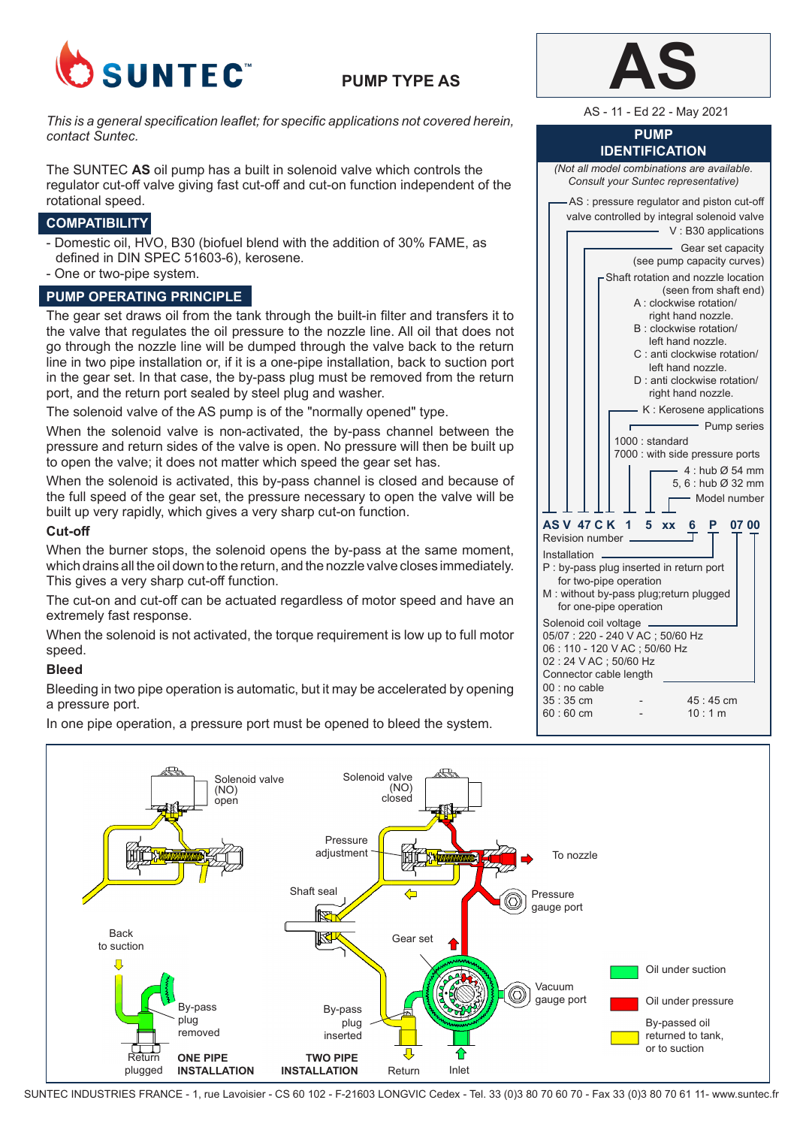

# **PUMP TYPE AS**

AS - 11 - Ed 22 - May 2021 *This is a general specification leaflet; for specific applications not covered herein, contact Suntec.*

The SUNTEC **AS** oil pump has a built in solenoid valve which controls the regulator cut-off valve giving fast cut-off and cut-on function independent of the rotational speed.

# **COMPATIBILITY**

- Domestic oil, HVO, B30 (biofuel blend with the addition of 30% FAME, as defined in DIN SPEC 51603-6), kerosene.
- One or two-pipe system.

### **PUMP OPERATING PRINCIPLE**

The gear set draws oil from the tank through the built-in filter and transfers it to the valve that regulates the oil pressure to the nozzle line. All oil that does not go through the nozzle line will be dumped through the valve back to the return line in two pipe installation or, if it is a one-pipe installation, back to suction port in the gear set. In that case, the by-pass plug must be removed from the return port, and the return port sealed by steel plug and washer.

The solenoid valve of the AS pump is of the "normally opened" type.

When the solenoid valve is non-activated, the by-pass channel between the pressure and return sides of the valve is open. No pressure will then be built up to open the valve; it does not matter which speed the gear set has.

When the solenoid is activated, this by-pass channel is closed and because of the full speed of the gear set, the pressure necessary to open the valve will be built up very rapidly, which gives a very sharp cut-on function.

#### **Cut-off**

When the burner stops, the solenoid opens the by-pass at the same moment, which drains all the oil down to the return, and the nozzle valve closes immediately. This gives a very sharp cut-off function.

The cut-on and cut-off can be actuated regardless of motor speed and have an extremely fast response.

When the solenoid is not activated, the torque requirement is low up to full motor speed.

## **Bleed**

Bleeding in two pipe operation is automatic, but it may be accelerated by opening a pressure port.

In one pipe operation, a pressure port must be opened to bleed the system.

#### **PUMP IDENTIFICATION**

*(Not all model combinations are available.* 

*Consult your Suntec representative)* AS : pressure regulator and piston cut-off valve controlled by integral solenoid valve V : B30 applications Gear set capacity (see pump capacity curves) Shaft rotation and nozzle location (seen from shaft end) A : clockwise rotation/ right hand nozzle. B : clockwise rotation/ left hand nozzle. C : anti clockwise rotation/ left hand nozzle. D : anti clockwise rotation/ right hand nozzle. K : Kerosene applications Pump series 1000 : standard 7000 : with side pressure ports  $4 \cdot$  hub  $\alpha$  54 mm 5, 6 : hub Ø 32 mm Model number **AS V 47 C K 1 5 xx 6 P 07 00** Revision number Installation P : by-pass plug inserted in return port for two-pipe operation M : without by-pass plug;return plugged for one-pipe operation Solenoid coil voltage 05/07 : 220 - 240 V AC ; 50/60 Hz 06 : 110 - 120 V AC ; 50/60 Hz 02 : 24 V AC ; 50/60 Hz Connector cable length 00 : no cable 35 : 35 cm - 45 : 45 cm<br>60 : 60 cm - 10 : 1 m  $60 \cdot 60$  cm



SUNTEC INDUSTRIES FRANCE - 1, rue Lavoisier - CS 60 102 - F-21603 LONGVIC Cedex - Tel. 33 (0)3 80 70 60 70 - Fax 33 (0)3 80 70 61 11- www.suntec.fr